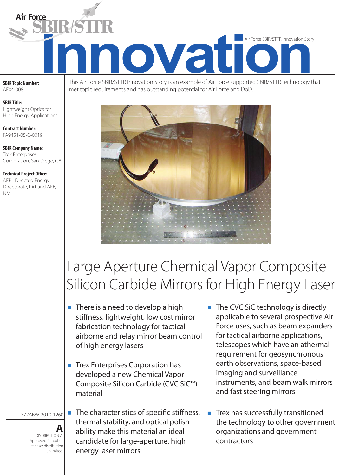

**SBIR Topic Number:**  AF04-008

**SBIR Title:** Lightweight Optics for High Energy Applications

**Contract Number:** FA9451-05-C-0019

**SBIR Company Name:** Trex Enterprises Corporation, San Diego, CA

**Technical Project Office:** AFRL Directed Energy Directorate, Kirtland AFB, NM

This Air Force SBIR/STTR Innovation Story is an example of Air Force supported SBIR/STTR technology that met topic requirements and has outstanding potential for Air Force and DoD.



# Large Aperture Chemical Vapor Composite Silicon Carbide Mirrors for High Energy Laser

- $\blacksquare$  There is a need to develop a high stiffness, lightweight, low cost mirror fabrication technology for tactical airborne and relay mirror beam control of high energy lasers
- **n** Trex Enterprises Corporation has developed a new Chemical Vapor Composite Silicon Carbide (CVC SiC™) material
- 377ABW-2010-1260

**DISTRIBUTION A:** Approved for public release; distribution unlimited.

 $\blacksquare$  The characteristics of specific stiffness, thermal stability, and optical polish ability make this material an ideal candidate for large-aperture, high energy laser mirrors

- $\blacksquare$  The CVC SiC technology is directly applicable to several prospective Air Force uses, such as beam expanders for tactical airborne applications, telescopes which have an athermal requirement for geosynchronous earth observations, space-based imaging and surveillance instruments, and beam walk mirrors and fast steering mirrors
- Trex has successfully transitioned the technology to other government organizations and government contractors